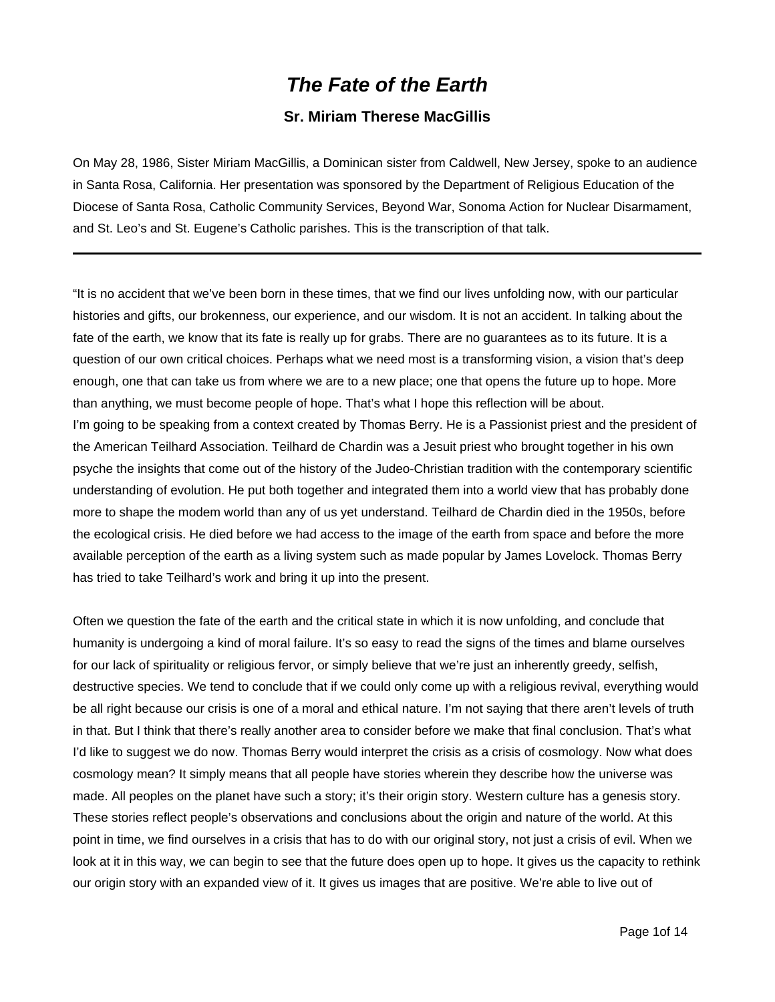## *The Fate of the Earth*

## **Sr. Miriam Therese MacGillis**

On May 28, 1986, Sister Miriam MacGillis, a Dominican sister from Caldwell, New Jersey, spoke to an audience in Santa Rosa, California. Her presentation was sponsored by the Department of Religious Education of the Diocese of Santa Rosa, Catholic Community Services, Beyond War, Sonoma Action for Nuclear Disarmament, and St. Leo's and St. Eugene's Catholic parishes. This is the transcription of that talk.

"It is no accident that we've been born in these times, that we find our lives unfolding now, with our particular histories and gifts, our brokenness, our experience, and our wisdom. It is not an accident. In talking about the fate of the earth, we know that its fate is really up for grabs. There are no guarantees as to its future. It is a question of our own critical choices. Perhaps what we need most is a transforming vision, a vision that's deep enough, one that can take us from where we are to a new place; one that opens the future up to hope. More than anything, we must become people of hope. That's what I hope this reflection will be about. I'm going to be speaking from a context created by Thomas Berry. He is a Passionist priest and the president of the American Teilhard Association. Teilhard de Chardin was a Jesuit priest who brought together in his own psyche the insights that come out of the history of the Judeo-Christian tradition with the contemporary scientific understanding of evolution. He put both together and integrated them into a world view that has probably done more to shape the modem world than any of us yet understand. Teilhard de Chardin died in the 1950s, before the ecological crisis. He died before we had access to the image of the earth from space and before the more available perception of the earth as a living system such as made popular by James Lovelock. Thomas Berry has tried to take Teilhard's work and bring it up into the present.

Often we question the fate of the earth and the critical state in which it is now unfolding, and conclude that humanity is undergoing a kind of moral failure. It's so easy to read the signs of the times and blame ourselves for our lack of spirituality or religious fervor, or simply believe that we're just an inherently greedy, selfish, destructive species. We tend to conclude that if we could only come up with a religious revival, everything would be all right because our crisis is one of a moral and ethical nature. I'm not saying that there aren't levels of truth in that. But I think that there's really another area to consider before we make that final conclusion. That's what I'd like to suggest we do now. Thomas Berry would interpret the crisis as a crisis of cosmology. Now what does cosmology mean? It simply means that all people have stories wherein they describe how the universe was made. All peoples on the planet have such a story; it's their origin story. Western culture has a genesis story. These stories reflect people's observations and conclusions about the origin and nature of the world. At this point in time, we find ourselves in a crisis that has to do with our original story, not just a crisis of evil. When we look at it in this way, we can begin to see that the future does open up to hope. It gives us the capacity to rethink our origin story with an expanded view of it. It gives us images that are positive. We're able to live out of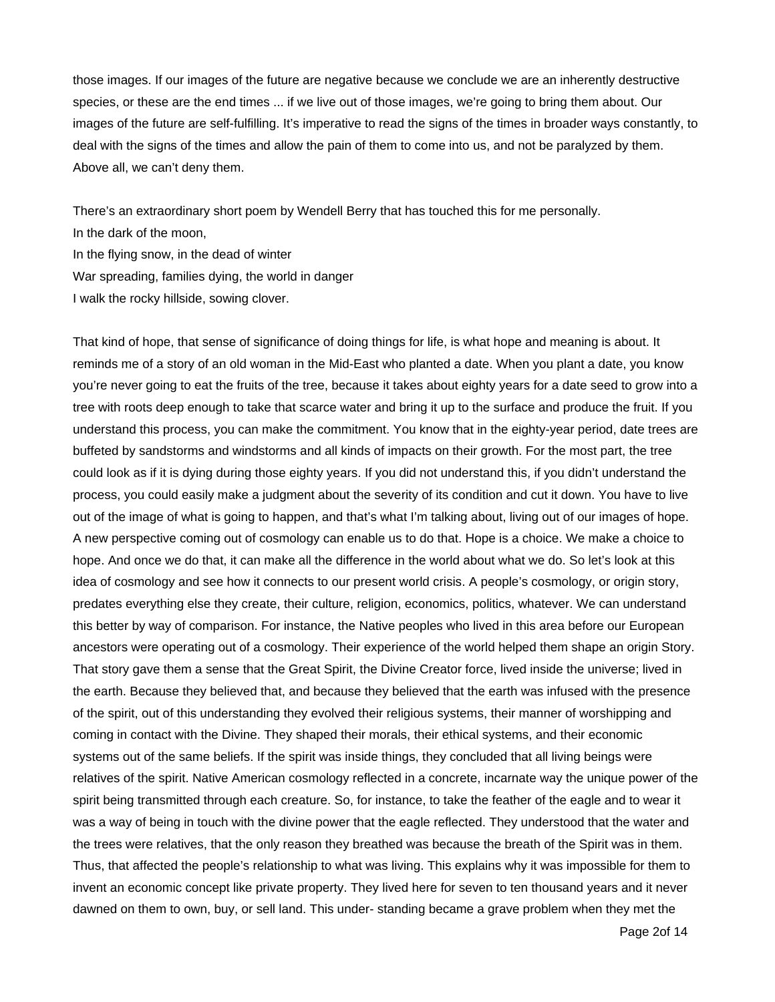those images. If our images of the future are negative because we conclude we are an inherently destructive species, or these are the end times ... if we live out of those images, we're going to bring them about. Our images of the future are self-fulfilling. It's imperative to read the signs of the times in broader ways constantly, to deal with the signs of the times and allow the pain of them to come into us, and not be paralyzed by them. Above all, we can't deny them.

There's an extraordinary short poem by Wendell Berry that has touched this for me personally. In the dark of the moon, In the flying snow, in the dead of winter War spreading, families dying, the world in danger I walk the rocky hillside, sowing clover.

That kind of hope, that sense of significance of doing things for life, is what hope and meaning is about. It reminds me of a story of an old woman in the Mid-East who planted a date. When you plant a date, you know you're never going to eat the fruits of the tree, because it takes about eighty years for a date seed to grow into a tree with roots deep enough to take that scarce water and bring it up to the surface and produce the fruit. If you understand this process, you can make the commitment. You know that in the eighty-year period, date trees are buffeted by sandstorms and windstorms and all kinds of impacts on their growth. For the most part, the tree could look as if it is dying during those eighty years. If you did not understand this, if you didn't understand the process, you could easily make a judgment about the severity of its condition and cut it down. You have to live out of the image of what is going to happen, and that's what I'm talking about, living out of our images of hope. A new perspective coming out of cosmology can enable us to do that. Hope is a choice. We make a choice to hope. And once we do that, it can make all the difference in the world about what we do. So let's look at this idea of cosmology and see how it connects to our present world crisis. A people's cosmology, or origin story, predates everything else they create, their culture, religion, economics, politics, whatever. We can understand this better by way of comparison. For instance, the Native peoples who lived in this area before our European ancestors were operating out of a cosmology. Their experience of the world helped them shape an origin Story. That story gave them a sense that the Great Spirit, the Divine Creator force, lived inside the universe; lived in the earth. Because they believed that, and because they believed that the earth was infused with the presence of the spirit, out of this understanding they evolved their religious systems, their manner of worshipping and coming in contact with the Divine. They shaped their morals, their ethical systems, and their economic systems out of the same beliefs. If the spirit was inside things, they concluded that all living beings were relatives of the spirit. Native American cosmology reflected in a concrete, incarnate way the unique power of the spirit being transmitted through each creature. So, for instance, to take the feather of the eagle and to wear it was a way of being in touch with the divine power that the eagle reflected. They understood that the water and the trees were relatives, that the only reason they breathed was because the breath of the Spirit was in them. Thus, that affected the people's relationship to what was living. This explains why it was impossible for them to invent an economic concept like private property. They lived here for seven to ten thousand years and it never dawned on them to own, buy, or sell land. This under- standing became a grave problem when they met the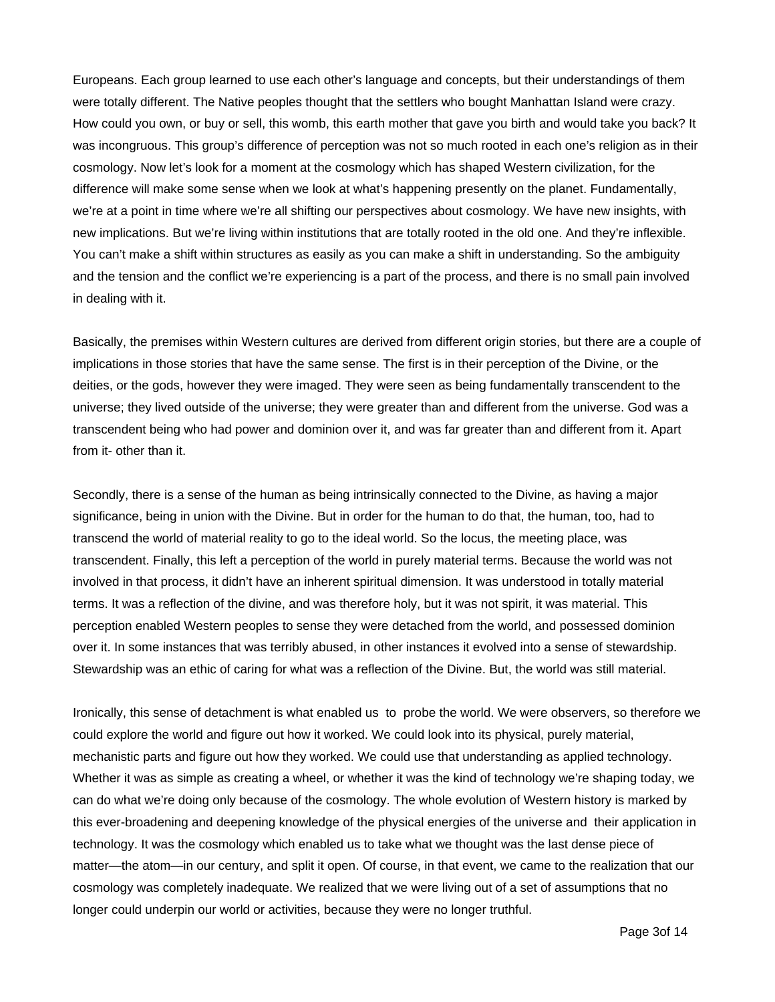Europeans. Each group learned to use each other's language and concepts, but their understandings of them were totally different. The Native peoples thought that the settlers who bought Manhattan Island were crazy. How could you own, or buy or sell, this womb, this earth mother that gave you birth and would take you back? It was incongruous. This group's difference of perception was not so much rooted in each one's religion as in their cosmology. Now let's look for a moment at the cosmology which has shaped Western civilization, for the difference will make some sense when we look at what's happening presently on the planet. Fundamentally, we're at a point in time where we're all shifting our perspectives about cosmology. We have new insights, with new implications. But we're living within institutions that are totally rooted in the old one. And they're inflexible. You can't make a shift within structures as easily as you can make a shift in understanding. So the ambiguity and the tension and the conflict we're experiencing is a part of the process, and there is no small pain involved in dealing with it.

Basically, the premises within Western cultures are derived from different origin stories, but there are a couple of implications in those stories that have the same sense. The first is in their perception of the Divine, or the deities, or the gods, however they were imaged. They were seen as being fundamentally transcendent to the universe; they lived outside of the universe; they were greater than and different from the universe. God was a transcendent being who had power and dominion over it, and was far greater than and different from it. Apart from it- other than it.

Secondly, there is a sense of the human as being intrinsically connected to the Divine, as having a major significance, being in union with the Divine. But in order for the human to do that, the human, too, had to transcend the world of material reality to go to the ideal world. So the locus, the meeting place, was transcendent. Finally, this left a perception of the world in purely material terms. Because the world was not involved in that process, it didn't have an inherent spiritual dimension. It was understood in totally material terms. It was a reflection of the divine, and was therefore holy, but it was not spirit, it was material. This perception enabled Western peoples to sense they were detached from the world, and possessed dominion over it. In some instances that was terribly abused, in other instances it evolved into a sense of stewardship. Stewardship was an ethic of caring for what was a reflection of the Divine. But, the world was still material.

Ironically, this sense of detachment is what enabled us to probe the world. We were observers, so therefore we could explore the world and figure out how it worked. We could look into its physical, purely material, mechanistic parts and figure out how they worked. We could use that understanding as applied technology. Whether it was as simple as creating a wheel, or whether it was the kind of technology we're shaping today, we can do what we're doing only because of the cosmology. The whole evolution of Western history is marked by this ever-broadening and deepening knowledge of the physical energies of the universe and their application in technology. It was the cosmology which enabled us to take what we thought was the last dense piece of matter—the atom—in our century, and split it open. Of course, in that event, we came to the realization that our cosmology was completely inadequate. We realized that we were living out of a set of assumptions that no longer could underpin our world or activities, because they were no longer truthful.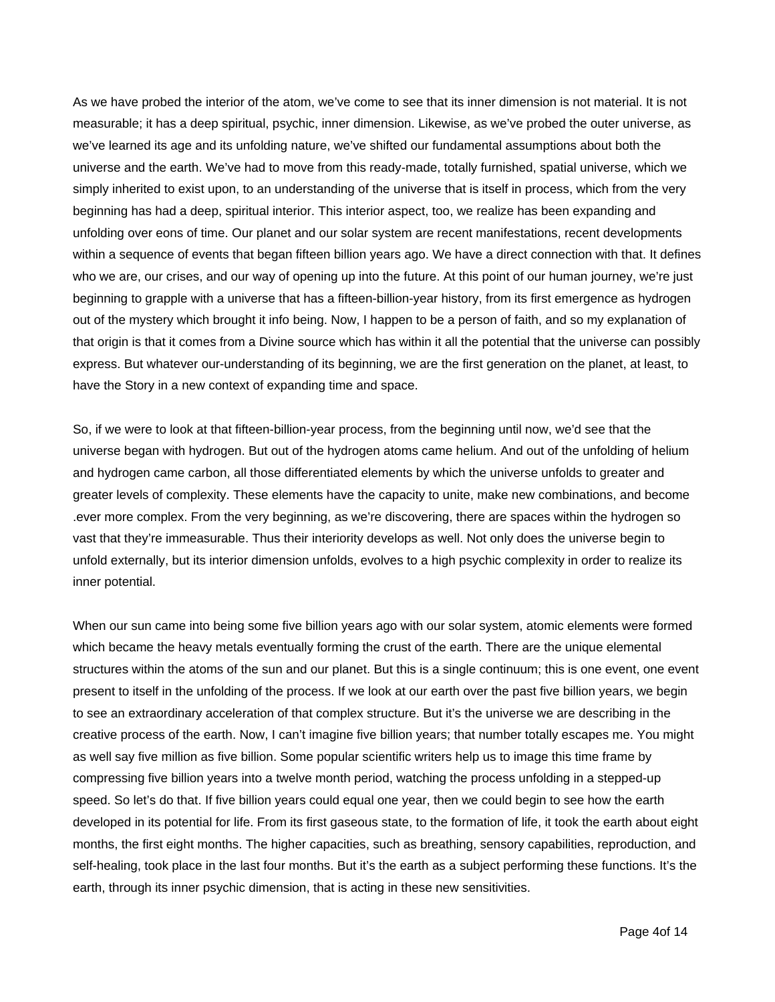As we have probed the interior of the atom, we've come to see that its inner dimension is not material. It is not measurable; it has a deep spiritual, psychic, inner dimension. Likewise, as we've probed the outer universe, as we've learned its age and its unfolding nature, we've shifted our fundamental assumptions about both the universe and the earth. We've had to move from this ready-made, totally furnished, spatial universe, which we simply inherited to exist upon, to an understanding of the universe that is itself in process, which from the very beginning has had a deep, spiritual interior. This interior aspect, too, we realize has been expanding and unfolding over eons of time. Our planet and our solar system are recent manifestations, recent developments within a sequence of events that began fifteen billion years ago. We have a direct connection with that. It defines who we are, our crises, and our way of opening up into the future. At this point of our human journey, we're just beginning to grapple with a universe that has a fifteen-billion-year history, from its first emergence as hydrogen out of the mystery which brought it info being. Now, I happen to be a person of faith, and so my explanation of that origin is that it comes from a Divine source which has within it all the potential that the universe can possibly express. But whatever our-understanding of its beginning, we are the first generation on the planet, at least, to have the Story in a new context of expanding time and space.

So, if we were to look at that fifteen-billion-year process, from the beginning until now, we'd see that the universe began with hydrogen. But out of the hydrogen atoms came helium. And out of the unfolding of helium and hydrogen came carbon, all those differentiated elements by which the universe unfolds to greater and greater levels of complexity. These elements have the capacity to unite, make new combinations, and become .ever more complex. From the very beginning, as we're discovering, there are spaces within the hydrogen so vast that they're immeasurable. Thus their interiority develops as well. Not only does the universe begin to unfold externally, but its interior dimension unfolds, evolves to a high psychic complexity in order to realize its inner potential.

When our sun came into being some five billion years ago with our solar system, atomic elements were formed which became the heavy metals eventually forming the crust of the earth. There are the unique elemental structures within the atoms of the sun and our planet. But this is a single continuum; this is one event, one event present to itself in the unfolding of the process. If we look at our earth over the past five billion years, we begin to see an extraordinary acceleration of that complex structure. But it's the universe we are describing in the creative process of the earth. Now, I can't imagine five billion years; that number totally escapes me. You might as well say five million as five billion. Some popular scientific writers help us to image this time frame by compressing five billion years into a twelve month period, watching the process unfolding in a stepped-up speed. So let's do that. If five billion years could equal one year, then we could begin to see how the earth developed in its potential for life. From its first gaseous state, to the formation of life, it took the earth about eight months, the first eight months. The higher capacities, such as breathing, sensory capabilities, reproduction, and self-healing, took place in the last four months. But it's the earth as a subject performing these functions. It's the earth, through its inner psychic dimension, that is acting in these new sensitivities.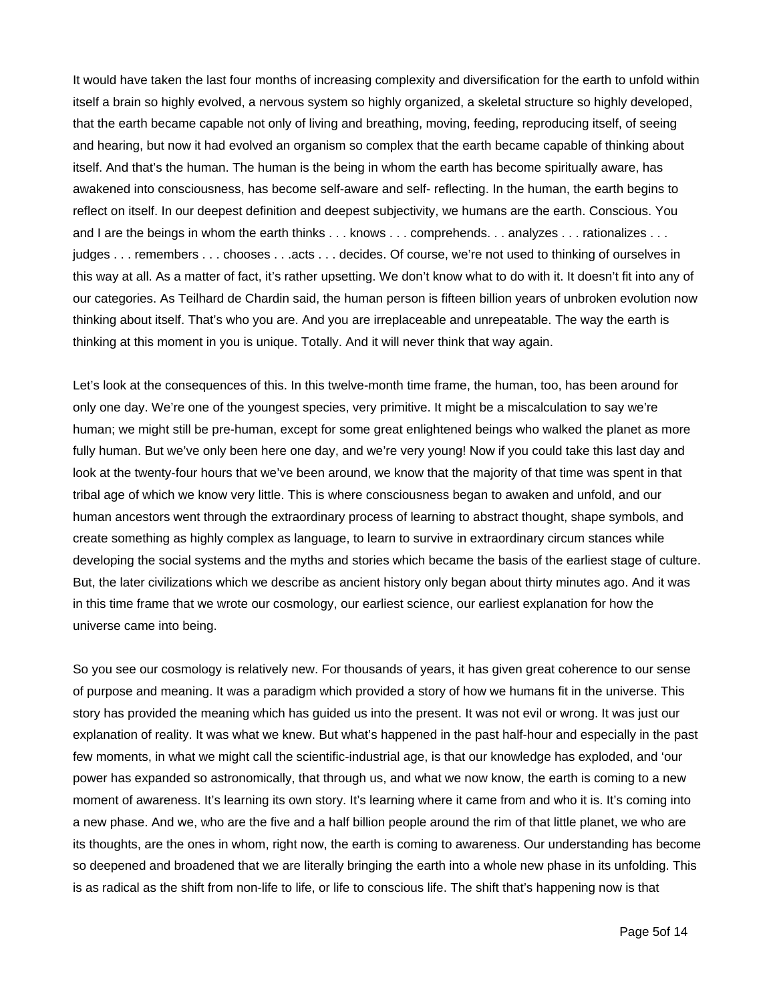It would have taken the last four months of increasing complexity and diversification for the earth to unfold within itself a brain so highly evolved, a nervous system so highly organized, a skeletal structure so highly developed, that the earth became capable not only of living and breathing, moving, feeding, reproducing itself, of seeing and hearing, but now it had evolved an organism so complex that the earth became capable of thinking about itself. And that's the human. The human is the being in whom the earth has become spiritually aware, has awakened into consciousness, has become self-aware and self- reflecting. In the human, the earth begins to reflect on itself. In our deepest definition and deepest subjectivity, we humans are the earth. Conscious. You and I are the beings in whom the earth thinks . . . knows . . . comprehends. . . analyzes . . . rationalizes . . . judges . . . remembers . . . chooses . . .acts . . . decides. Of course, we're not used to thinking of ourselves in this way at all. As a matter of fact, it's rather upsetting. We don't know what to do with it. It doesn't fit into any of our categories. As Teilhard de Chardin said, the human person is fifteen billion years of unbroken evolution now thinking about itself. That's who you are. And you are irreplaceable and unrepeatable. The way the earth is thinking at this moment in you is unique. Totally. And it will never think that way again.

Let's look at the consequences of this. In this twelve-month time frame, the human, too, has been around for only one day. We're one of the youngest species, very primitive. It might be a miscalculation to say we're human; we might still be pre-human, except for some great enlightened beings who walked the planet as more fully human. But we've only been here one day, and we're very young! Now if you could take this last day and look at the twenty-four hours that we've been around, we know that the majority of that time was spent in that tribal age of which we know very little. This is where consciousness began to awaken and unfold, and our human ancestors went through the extraordinary process of learning to abstract thought, shape symbols, and create something as highly complex as language, to learn to survive in extraordinary circum stances while developing the social systems and the myths and stories which became the basis of the earliest stage of culture. But, the later civilizations which we describe as ancient history only began about thirty minutes ago. And it was in this time frame that we wrote our cosmology, our earliest science, our earliest explanation for how the universe came into being.

So you see our cosmology is relatively new. For thousands of years, it has given great coherence to our sense of purpose and meaning. It was a paradigm which provided a story of how we humans fit in the universe. This story has provided the meaning which has guided us into the present. It was not evil or wrong. It was just our explanation of reality. It was what we knew. But what's happened in the past half-hour and especially in the past few moments, in what we might call the scientific-industrial age, is that our knowledge has exploded, and 'our power has expanded so astronomically, that through us, and what we now know, the earth is coming to a new moment of awareness. It's learning its own story. It's learning where it came from and who it is. It's coming into a new phase. And we, who are the five and a half billion people around the rim of that little planet, we who are its thoughts, are the ones in whom, right now, the earth is coming to awareness. Our understanding has become so deepened and broadened that we are literally bringing the earth into a whole new phase in its unfolding. This is as radical as the shift from non-life to life, or life to conscious life. The shift that's happening now is that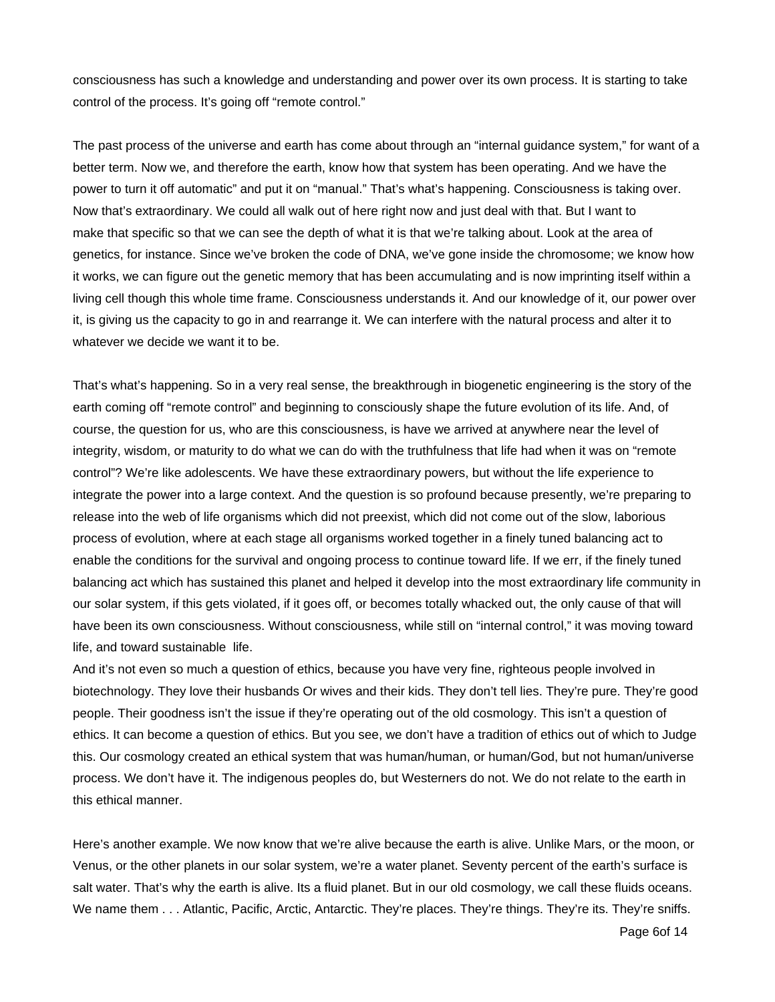consciousness has such a knowledge and understanding and power over its own process. It is starting to take control of the process. It's going off "remote control."

The past process of the universe and earth has come about through an "internal guidance system," for want of a better term. Now we, and therefore the earth, know how that system has been operating. And we have the power to turn it off automatic" and put it on "manual." That's what's happening. Consciousness is taking over. Now that's extraordinary. We could all walk out of here right now and just deal with that. But I want to make that specific so that we can see the depth of what it is that we're talking about. Look at the area of genetics, for instance. Since we've broken the code of DNA, we've gone inside the chromosome; we know how it works, we can figure out the genetic memory that has been accumulating and is now imprinting itself within a living cell though this whole time frame. Consciousness understands it. And our knowledge of it, our power over it, is giving us the capacity to go in and rearrange it. We can interfere with the natural process and alter it to whatever we decide we want it to be.

That's what's happening. So in a very real sense, the breakthrough in biogenetic engineering is the story of the earth coming off "remote control" and beginning to consciously shape the future evolution of its life. And, of course, the question for us, who are this consciousness, is have we arrived at anywhere near the level of integrity, wisdom, or maturity to do what we can do with the truthfulness that life had when it was on "remote control"? We're like adolescents. We have these extraordinary powers, but without the life experience to integrate the power into a large context. And the question is so profound because presently, we're preparing to release into the web of life organisms which did not preexist, which did not come out of the slow, laborious process of evolution, where at each stage all organisms worked together in a finely tuned balancing act to enable the conditions for the survival and ongoing process to continue toward life. If we err, if the finely tuned balancing act which has sustained this planet and helped it develop into the most extraordinary life community in our solar system, if this gets violated, if it goes off, or becomes totally whacked out, the only cause of that will have been its own consciousness. Without consciousness, while still on "internal control," it was moving toward life, and toward sustainable life.

And it's not even so much a question of ethics, because you have very fine, righteous people involved in biotechnology. They love their husbands Or wives and their kids. They don't tell lies. They're pure. They're good people. Their goodness isn't the issue if they're operating out of the old cosmology. This isn't a question of ethics. It can become a question of ethics. But you see, we don't have a tradition of ethics out of which to Judge this. Our cosmology created an ethical system that was human/human, or human/God, but not human/universe process. We don't have it. The indigenous peoples do, but Westerners do not. We do not relate to the earth in this ethical manner.

Here's another example. We now know that we're alive because the earth is alive. Unlike Mars, or the moon, or Venus, or the other planets in our solar system, we're a water planet. Seventy percent of the earth's surface is salt water. That's why the earth is alive. Its a fluid planet. But in our old cosmology, we call these fluids oceans. We name them . . . Atlantic, Pacific, Arctic, Antarctic. They're places. They're things. They're its. They're sniffs.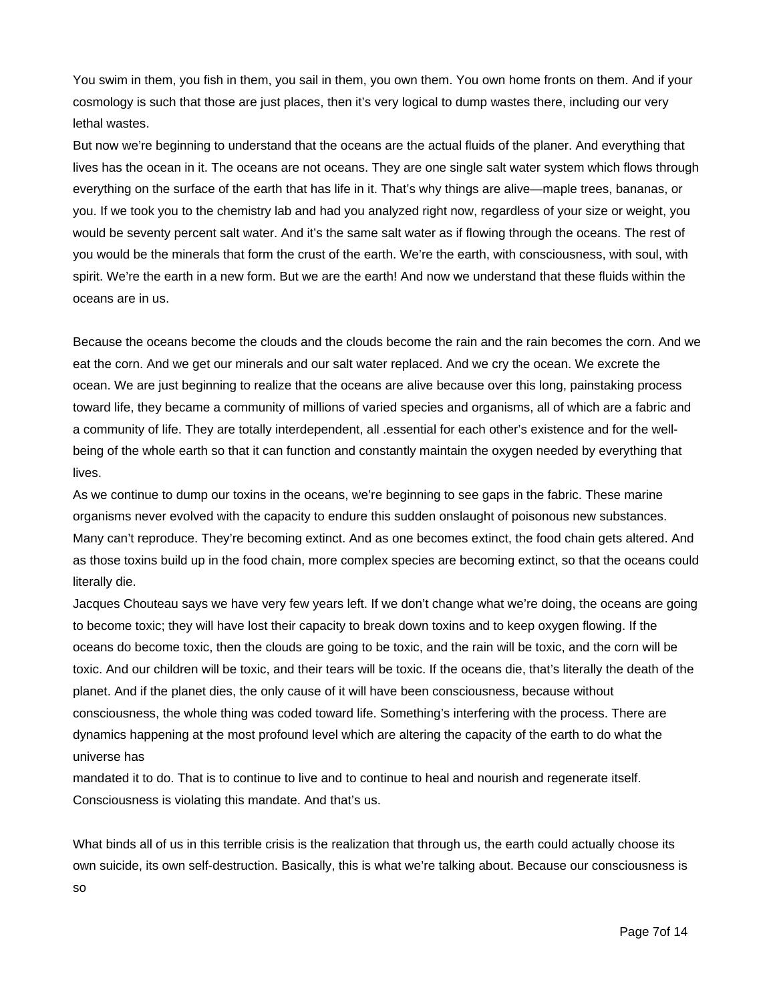You swim in them, you fish in them, you sail in them, you own them. You own home fronts on them. And if your cosmology is such that those are just places, then it's very logical to dump wastes there, including our very lethal wastes.

But now we're beginning to understand that the oceans are the actual fluids of the planer. And everything that lives has the ocean in it. The oceans are not oceans. They are one single salt water system which flows through everything on the surface of the earth that has life in it. That's why things are alive—maple trees, bananas, or you. If we took you to the chemistry lab and had you analyzed right now, regardless of your size or weight, you would be seventy percent salt water. And it's the same salt water as if flowing through the oceans. The rest of you would be the minerals that form the crust of the earth. We're the earth, with consciousness, with soul, with spirit. We're the earth in a new form. But we are the earth! And now we understand that these fluids within the oceans are in us.

Because the oceans become the clouds and the clouds become the rain and the rain becomes the corn. And we eat the corn. And we get our minerals and our salt water replaced. And we cry the ocean. We excrete the ocean. We are just beginning to realize that the oceans are alive because over this long, painstaking process toward life, they became a community of millions of varied species and organisms, all of which are a fabric and a community of life. They are totally interdependent, all .essential for each other's existence and for the wellbeing of the whole earth so that it can function and constantly maintain the oxygen needed by everything that lives.

As we continue to dump our toxins in the oceans, we're beginning to see gaps in the fabric. These marine organisms never evolved with the capacity to endure this sudden onslaught of poisonous new substances. Many can't reproduce. They're becoming extinct. And as one becomes extinct, the food chain gets altered. And as those toxins build up in the food chain, more complex species are becoming extinct, so that the oceans could literally die.

Jacques Chouteau says we have very few years left. If we don't change what we're doing, the oceans are going to become toxic; they will have lost their capacity to break down toxins and to keep oxygen flowing. If the oceans do become toxic, then the clouds are going to be toxic, and the rain will be toxic, and the corn will be toxic. And our children will be toxic, and their tears will be toxic. If the oceans die, that's literally the death of the planet. And if the planet dies, the only cause of it will have been consciousness, because without consciousness, the whole thing was coded toward life. Something's interfering with the process. There are dynamics happening at the most profound level which are altering the capacity of the earth to do what the universe has

mandated it to do. That is to continue to live and to continue to heal and nourish and regenerate itself. Consciousness is violating this mandate. And that's us.

What binds all of us in this terrible crisis is the realization that through us, the earth could actually choose its own suicide, its own self-destruction. Basically, this is what we're talking about. Because our consciousness is so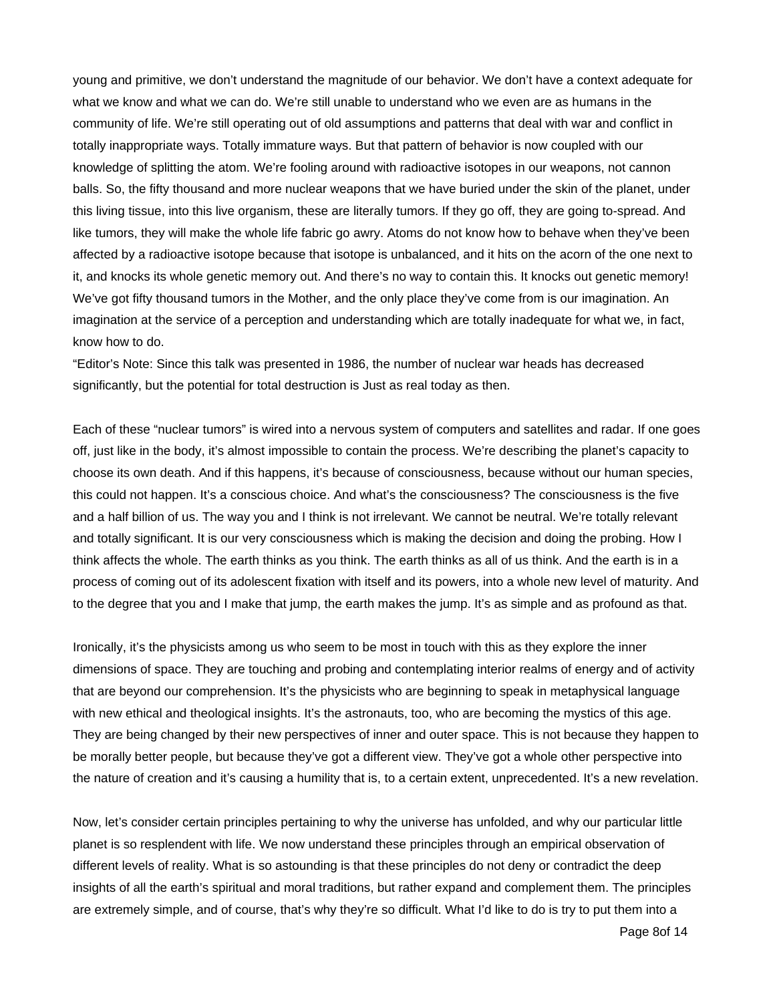young and primitive, we don't understand the magnitude of our behavior. We don't have a context adequate for what we know and what we can do. We're still unable to understand who we even are as humans in the community of life. We're still operating out of old assumptions and patterns that deal with war and conflict in totally inappropriate ways. Totally immature ways. But that pattern of behavior is now coupled with our knowledge of splitting the atom. We're fooling around with radioactive isotopes in our weapons, not cannon balls. So, the fifty thousand and more nuclear weapons that we have buried under the skin of the planet, under this living tissue, into this live organism, these are literally tumors. If they go off, they are going to-spread. And like tumors, they will make the whole life fabric go awry. Atoms do not know how to behave when they've been affected by a radioactive isotope because that isotope is unbalanced, and it hits on the acorn of the one next to it, and knocks its whole genetic memory out. And there's no way to contain this. It knocks out genetic memory! We've got fifty thousand tumors in the Mother, and the only place they've come from is our imagination. An imagination at the service of a perception and understanding which are totally inadequate for what we, in fact, know how to do.

"Editor's Note: Since this talk was presented in 1986, the number of nuclear war heads has decreased significantly, but the potential for total destruction is Just as real today as then.

Each of these "nuclear tumors" is wired into a nervous system of computers and satellites and radar. If one goes off, just like in the body, it's almost impossible to contain the process. We're describing the planet's capacity to choose its own death. And if this happens, it's because of consciousness, because without our human species, this could not happen. It's a conscious choice. And what's the consciousness? The consciousness is the five and a half billion of us. The way you and I think is not irrelevant. We cannot be neutral. We're totally relevant and totally significant. It is our very consciousness which is making the decision and doing the probing. How I think affects the whole. The earth thinks as you think. The earth thinks as all of us think. And the earth is in a process of coming out of its adolescent fixation with itself and its powers, into a whole new level of maturity. And to the degree that you and I make that jump, the earth makes the jump. It's as simple and as profound as that.

Ironically, it's the physicists among us who seem to be most in touch with this as they explore the inner dimensions of space. They are touching and probing and contemplating interior realms of energy and of activity that are beyond our comprehension. It's the physicists who are beginning to speak in metaphysical language with new ethical and theological insights. It's the astronauts, too, who are becoming the mystics of this age. They are being changed by their new perspectives of inner and outer space. This is not because they happen to be morally better people, but because they've got a different view. They've got a whole other perspective into the nature of creation and it's causing a humility that is, to a certain extent, unprecedented. It's a new revelation.

Now, let's consider certain principles pertaining to why the universe has unfolded, and why our particular little planet is so resplendent with life. We now understand these principles through an empirical observation of different levels of reality. What is so astounding is that these principles do not deny or contradict the deep insights of all the earth's spiritual and moral traditions, but rather expand and complement them. The principles are extremely simple, and of course, that's why they're so difficult. What I'd like to do is try to put them into a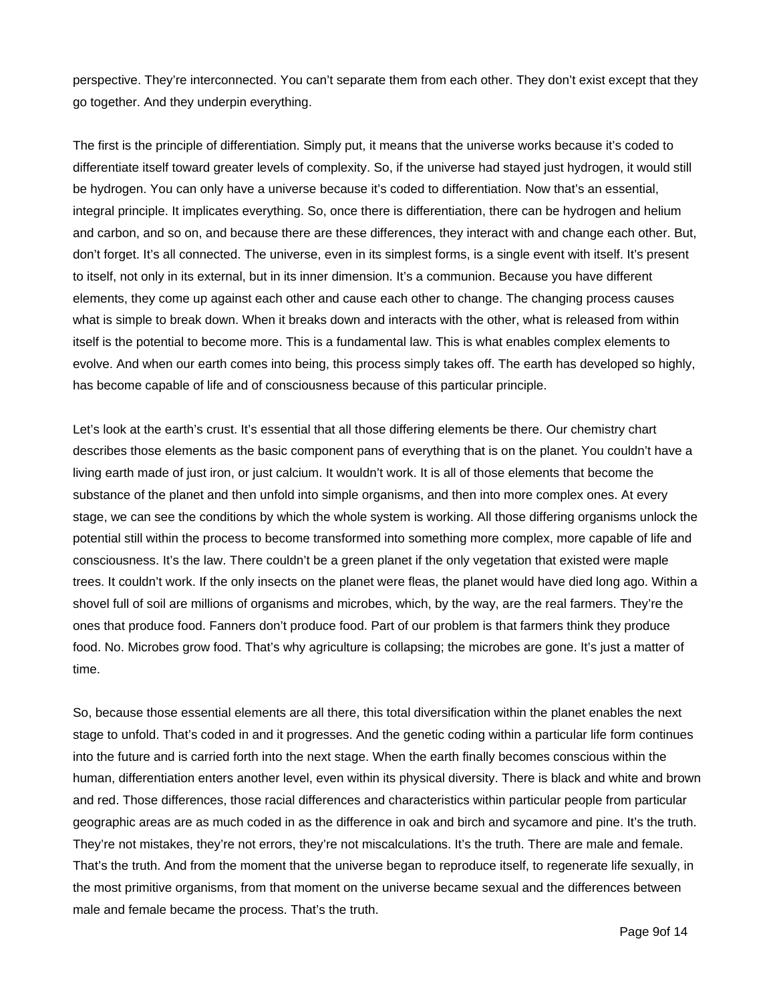perspective. They're interconnected. You can't separate them from each other. They don't exist except that they go together. And they underpin everything.

The first is the principle of differentiation. Simply put, it means that the universe works because it's coded to differentiate itself toward greater levels of complexity. So, if the universe had stayed just hydrogen, it would still be hydrogen. You can only have a universe because it's coded to differentiation. Now that's an essential, integral principle. It implicates everything. So, once there is differentiation, there can be hydrogen and helium and carbon, and so on, and because there are these differences, they interact with and change each other. But, don't forget. It's all connected. The universe, even in its simplest forms, is a single event with itself. It's present to itself, not only in its external, but in its inner dimension. It's a communion. Because you have different elements, they come up against each other and cause each other to change. The changing process causes what is simple to break down. When it breaks down and interacts with the other, what is released from within itself is the potential to become more. This is a fundamental law. This is what enables complex elements to evolve. And when our earth comes into being, this process simply takes off. The earth has developed so highly, has become capable of life and of consciousness because of this particular principle.

Let's look at the earth's crust. It's essential that all those differing elements be there. Our chemistry chart describes those elements as the basic component pans of everything that is on the planet. You couldn't have a living earth made of just iron, or just calcium. It wouldn't work. It is all of those elements that become the substance of the planet and then unfold into simple organisms, and then into more complex ones. At every stage, we can see the conditions by which the whole system is working. All those differing organisms unlock the potential still within the process to become transformed into something more complex, more capable of life and consciousness. It's the law. There couldn't be a green planet if the only vegetation that existed were maple trees. It couldn't work. If the only insects on the planet were fleas, the planet would have died long ago. Within a shovel full of soil are millions of organisms and microbes, which, by the way, are the real farmers. They're the ones that produce food. Fanners don't produce food. Part of our problem is that farmers think they produce food. No. Microbes grow food. That's why agriculture is collapsing; the microbes are gone. It's just a matter of time.

So, because those essential elements are all there, this total diversification within the planet enables the next stage to unfold. That's coded in and it progresses. And the genetic coding within a particular life form continues into the future and is carried forth into the next stage. When the earth finally becomes conscious within the human, differentiation enters another level, even within its physical diversity. There is black and white and brown and red. Those differences, those racial differences and characteristics within particular people from particular geographic areas are as much coded in as the difference in oak and birch and sycamore and pine. It's the truth. They're not mistakes, they're not errors, they're not miscalculations. It's the truth. There are male and female. That's the truth. And from the moment that the universe began to reproduce itself, to regenerate life sexually, in the most primitive organisms, from that moment on the universe became sexual and the differences between male and female became the process. That's the truth.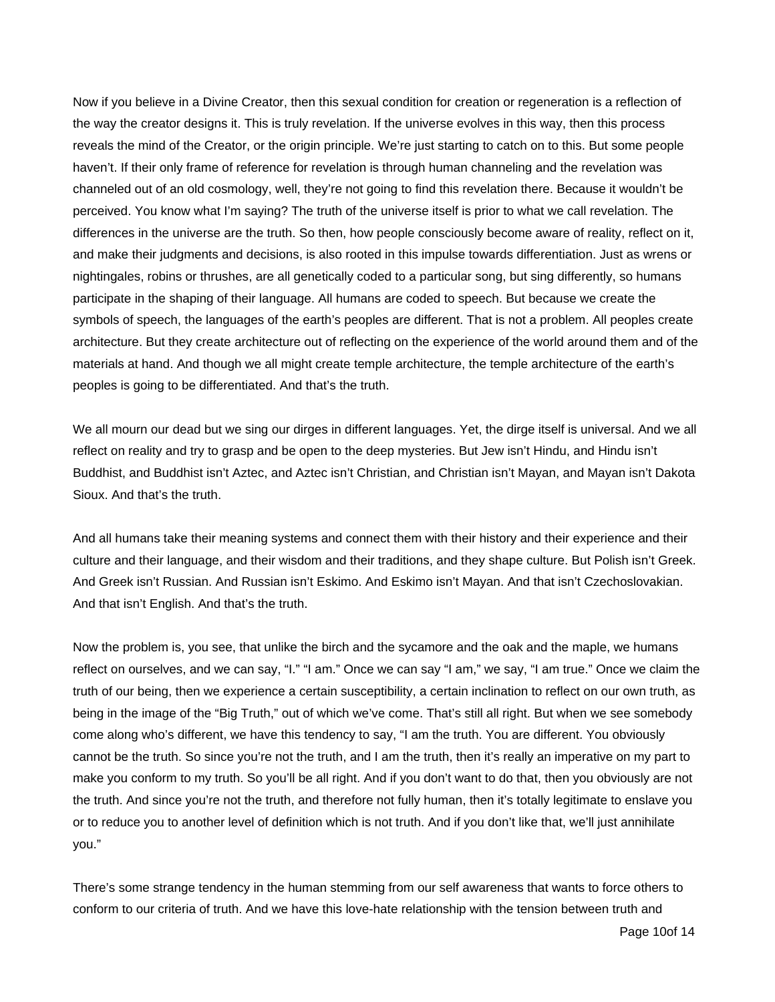Now if you believe in a Divine Creator, then this sexual condition for creation or regeneration is a reflection of the way the creator designs it. This is truly revelation. If the universe evolves in this way, then this process reveals the mind of the Creator, or the origin principle. We're just starting to catch on to this. But some people haven't. If their only frame of reference for revelation is through human channeling and the revelation was channeled out of an old cosmology, well, they're not going to find this revelation there. Because it wouldn't be perceived. You know what I'm saying? The truth of the universe itself is prior to what we call revelation. The differences in the universe are the truth. So then, how people consciously become aware of reality, reflect on it, and make their judgments and decisions, is also rooted in this impulse towards differentiation. Just as wrens or nightingales, robins or thrushes, are all genetically coded to a particular song, but sing differently, so humans participate in the shaping of their language. All humans are coded to speech. But because we create the symbols of speech, the languages of the earth's peoples are different. That is not a problem. All peoples create architecture. But they create architecture out of reflecting on the experience of the world around them and of the materials at hand. And though we all might create temple architecture, the temple architecture of the earth's peoples is going to be differentiated. And that's the truth.

We all mourn our dead but we sing our dirges in different languages. Yet, the dirge itself is universal. And we all reflect on reality and try to grasp and be open to the deep mysteries. But Jew isn't Hindu, and Hindu isn't Buddhist, and Buddhist isn't Aztec, and Aztec isn't Christian, and Christian isn't Mayan, and Mayan isn't Dakota Sioux. And that's the truth.

And all humans take their meaning systems and connect them with their history and their experience and their culture and their language, and their wisdom and their traditions, and they shape culture. But Polish isn't Greek. And Greek isn't Russian. And Russian isn't Eskimo. And Eskimo isn't Mayan. And that isn't Czechoslovakian. And that isn't English. And that's the truth.

Now the problem is, you see, that unlike the birch and the sycamore and the oak and the maple, we humans reflect on ourselves, and we can say, "I." "I am." Once we can say "I am," we say, "I am true." Once we claim the truth of our being, then we experience a certain susceptibility, a certain inclination to reflect on our own truth, as being in the image of the "Big Truth," out of which we've come. That's still all right. But when we see somebody come along who's different, we have this tendency to say, "I am the truth. You are different. You obviously cannot be the truth. So since you're not the truth, and I am the truth, then it's really an imperative on my part to make you conform to my truth. So you'll be all right. And if you don't want to do that, then you obviously are not the truth. And since you're not the truth, and therefore not fully human, then it's totally legitimate to enslave you or to reduce you to another level of definition which is not truth. And if you don't like that, we'll just annihilate you."

There's some strange tendency in the human stemming from our self awareness that wants to force others to conform to our criteria of truth. And we have this love-hate relationship with the tension between truth and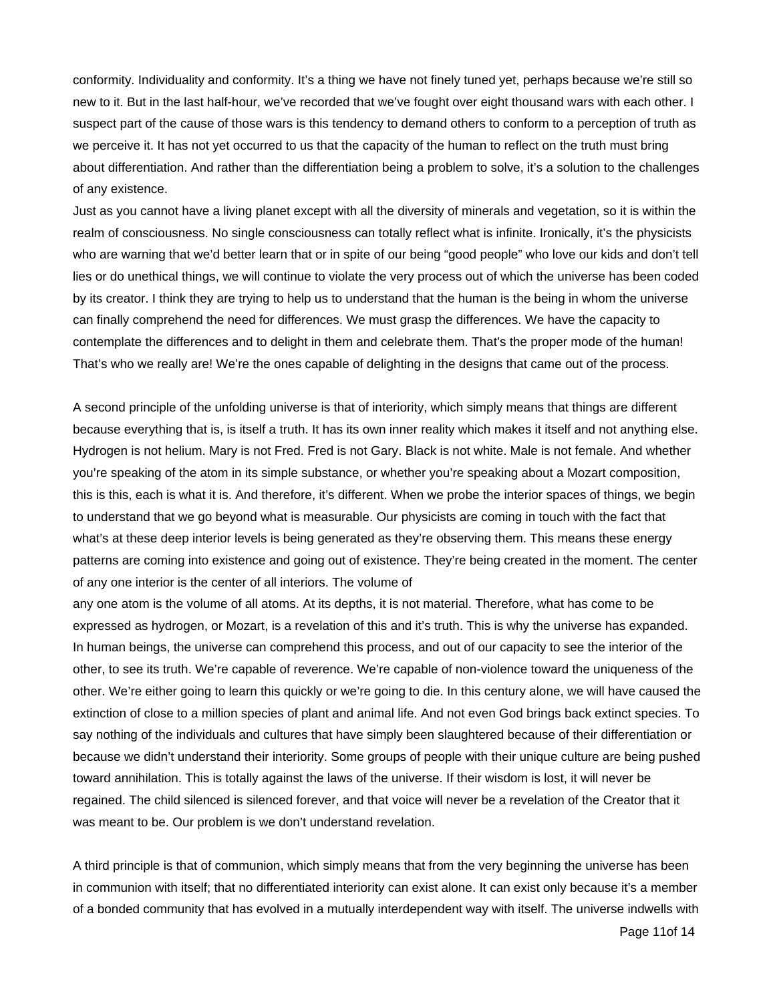conformity. Individuality and conformity. It's a thing we have not finely tuned yet, perhaps because we're still so new to it. But in the last half-hour, we've recorded that we've fought over eight thousand wars with each other. I suspect part of the cause of those wars is this tendency to demand others to conform to a perception of truth as we perceive it. It has not yet occurred to us that the capacity of the human to reflect on the truth must bring about differentiation. And rather than the differentiation being a problem to solve, it's a solution to the challenges of any existence.

Just as you cannot have a living planet except with all the diversity of minerals and vegetation, so it is within the realm of consciousness. No single consciousness can totally reflect what is infinite. Ironically, it's the physicists who are warning that we'd better learn that or in spite of our being "good people" who love our kids and don't tell lies or do unethical things, we will continue to violate the very process out of which the universe has been coded by its creator. I think they are trying to help us to understand that the human is the being in whom the universe can finally comprehend the need for differences. We must grasp the differences. We have the capacity to contemplate the differences and to delight in them and celebrate them. That's the proper mode of the human! That's who we really are! We're the ones capable of delighting in the designs that came out of the process.

A second principle of the unfolding universe is that of interiority, which simply means that things are different because everything that is, is itself a truth. It has its own inner reality which makes it itself and not anything else. Hydrogen is not helium. Mary is not Fred. Fred is not Gary. Black is not white. Male is not female. And whether you're speaking of the atom in its simple substance, or whether you're speaking about a Mozart composition, this is this, each is what it is. And therefore, it's different. When we probe the interior spaces of things, we begin to understand that we go beyond what is measurable. Our physicists are coming in touch with the fact that what's at these deep interior levels is being generated as they're observing them. This means these energy patterns are coming into existence and going out of existence. They're being created in the moment. The center of any one interior is the center of all interiors. The volume of

any one atom is the volume of all atoms. At its depths, it is not material. Therefore, what has come to be expressed as hydrogen, or Mozart, is a revelation of this and it's truth. This is why the universe has expanded. In human beings, the universe can comprehend this process, and out of our capacity to see the interior of the other, to see its truth. We're capable of reverence. We're capable of non-violence toward the uniqueness of the other. We're either going to learn this quickly or we're going to die. In this century alone, we will have caused the extinction of close to a million species of plant and animal life. And not even God brings back extinct species. To say nothing of the individuals and cultures that have simply been slaughtered because of their differentiation or because we didn't understand their interiority. Some groups of people with their unique culture are being pushed toward annihilation. This is totally against the laws of the universe. If their wisdom is lost, it will never be regained. The child silenced is silenced forever, and that voice will never be a revelation of the Creator that it was meant to be. Our problem is we don't understand revelation.

A third principle is that of communion, which simply means that from the very beginning the universe has been in communion with itself; that no differentiated interiority can exist alone. It can exist only because it's a member of a bonded community that has evolved in a mutually interdependent way with itself. The universe indwells with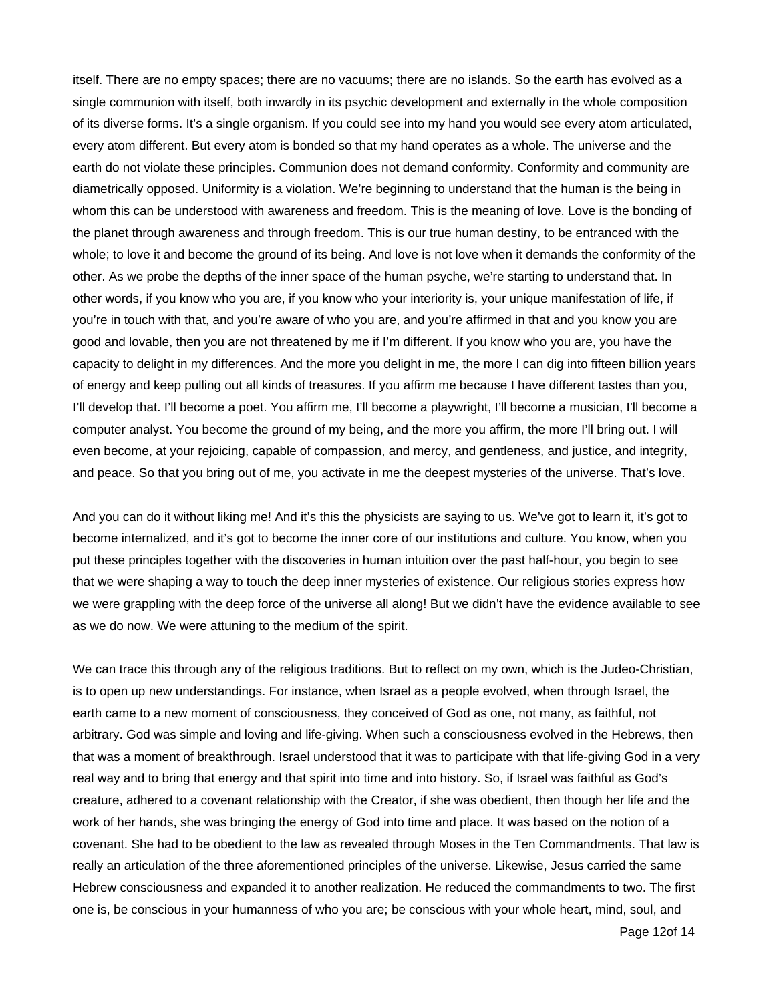itself. There are no empty spaces; there are no vacuums; there are no islands. So the earth has evolved as a single communion with itself, both inwardly in its psychic development and externally in the whole composition of its diverse forms. It's a single organism. If you could see into my hand you would see every atom articulated, every atom different. But every atom is bonded so that my hand operates as a whole. The universe and the earth do not violate these principles. Communion does not demand conformity. Conformity and community are diametrically opposed. Uniformity is a violation. We're beginning to understand that the human is the being in whom this can be understood with awareness and freedom. This is the meaning of love. Love is the bonding of the planet through awareness and through freedom. This is our true human destiny, to be entranced with the whole; to love it and become the ground of its being. And love is not love when it demands the conformity of the other. As we probe the depths of the inner space of the human psyche, we're starting to understand that. In other words, if you know who you are, if you know who your interiority is, your unique manifestation of life, if you're in touch with that, and you're aware of who you are, and you're affirmed in that and you know you are good and lovable, then you are not threatened by me if I'm different. If you know who you are, you have the capacity to delight in my differences. And the more you delight in me, the more I can dig into fifteen billion years of energy and keep pulling out all kinds of treasures. If you affirm me because I have different tastes than you, I'll develop that. I'll become a poet. You affirm me, I'll become a playwright, I'll become a musician, I'll become a computer analyst. You become the ground of my being, and the more you affirm, the more I'll bring out. I will even become, at your rejoicing, capable of compassion, and mercy, and gentleness, and justice, and integrity, and peace. So that you bring out of me, you activate in me the deepest mysteries of the universe. That's love.

And you can do it without liking me! And it's this the physicists are saying to us. We've got to learn it, it's got to become internalized, and it's got to become the inner core of our institutions and culture. You know, when you put these principles together with the discoveries in human intuition over the past half-hour, you begin to see that we were shaping a way to touch the deep inner mysteries of existence. Our religious stories express how we were grappling with the deep force of the universe all along! But we didn't have the evidence available to see as we do now. We were attuning to the medium of the spirit.

We can trace this through any of the religious traditions. But to reflect on my own, which is the Judeo-Christian, is to open up new understandings. For instance, when Israel as a people evolved, when through Israel, the earth came to a new moment of consciousness, they conceived of God as one, not many, as faithful, not arbitrary. God was simple and loving and life-giving. When such a consciousness evolved in the Hebrews, then that was a moment of breakthrough. Israel understood that it was to participate with that life-giving God in a very real way and to bring that energy and that spirit into time and into history. So, if Israel was faithful as God's creature, adhered to a covenant relationship with the Creator, if she was obedient, then though her life and the work of her hands, she was bringing the energy of God into time and place. It was based on the notion of a covenant. She had to be obedient to the law as revealed through Moses in the Ten Commandments. That law is really an articulation of the three aforementioned principles of the universe. Likewise, Jesus carried the same Hebrew consciousness and expanded it to another realization. He reduced the commandments to two. The first one is, be conscious in your humanness of who you are; be conscious with your whole heart, mind, soul, and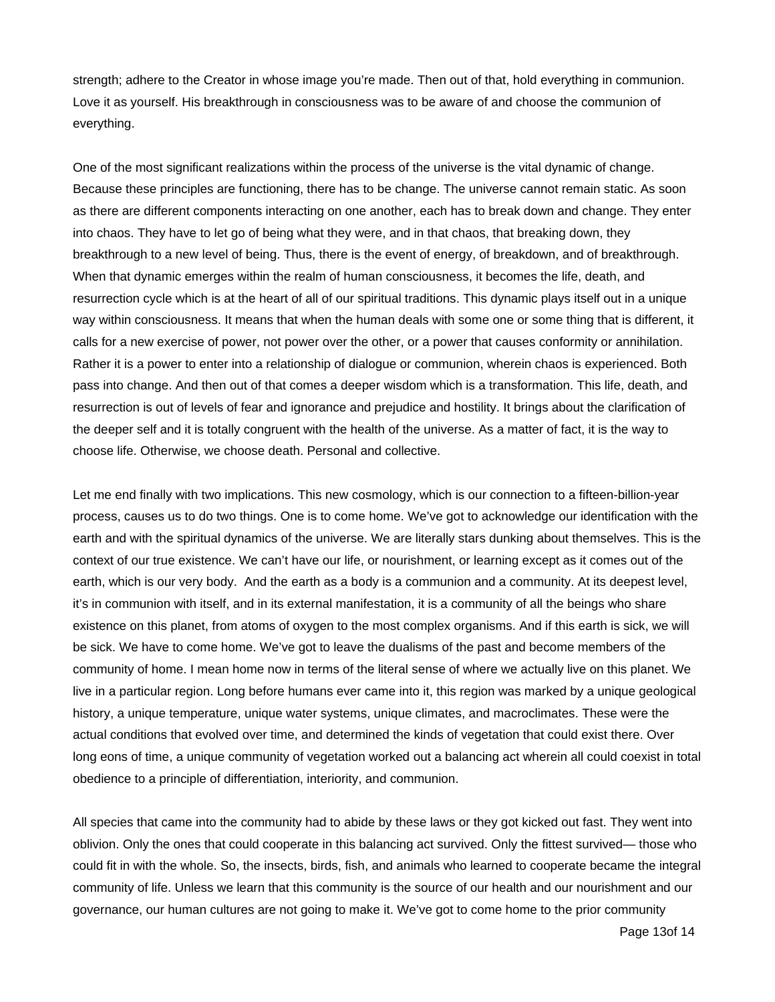strength; adhere to the Creator in whose image you're made. Then out of that, hold everything in communion. Love it as yourself. His breakthrough in consciousness was to be aware of and choose the communion of everything.

One of the most significant realizations within the process of the universe is the vital dynamic of change. Because these principles are functioning, there has to be change. The universe cannot remain static. As soon as there are different components interacting on one another, each has to break down and change. They enter into chaos. They have to let go of being what they were, and in that chaos, that breaking down, they breakthrough to a new level of being. Thus, there is the event of energy, of breakdown, and of breakthrough. When that dynamic emerges within the realm of human consciousness, it becomes the life, death, and resurrection cycle which is at the heart of all of our spiritual traditions. This dynamic plays itself out in a unique way within consciousness. It means that when the human deals with some one or some thing that is different, it calls for a new exercise of power, not power over the other, or a power that causes conformity or annihilation. Rather it is a power to enter into a relationship of dialogue or communion, wherein chaos is experienced. Both pass into change. And then out of that comes a deeper wisdom which is a transformation. This life, death, and resurrection is out of levels of fear and ignorance and prejudice and hostility. It brings about the clarification of the deeper self and it is totally congruent with the health of the universe. As a matter of fact, it is the way to choose life. Otherwise, we choose death. Personal and collective.

Let me end finally with two implications. This new cosmology, which is our connection to a fifteen-billion-year process, causes us to do two things. One is to come home. We've got to acknowledge our identification with the earth and with the spiritual dynamics of the universe. We are literally stars dunking about themselves. This is the context of our true existence. We can't have our life, or nourishment, or learning except as it comes out of the earth, which is our very body. And the earth as a body is a communion and a community. At its deepest level, it's in communion with itself, and in its external manifestation, it is a community of all the beings who share existence on this planet, from atoms of oxygen to the most complex organisms. And if this earth is sick, we will be sick. We have to come home. We've got to leave the dualisms of the past and become members of the community of home. I mean home now in terms of the literal sense of where we actually live on this planet. We live in a particular region. Long before humans ever came into it, this region was marked by a unique geological history, a unique temperature, unique water systems, unique climates, and macroclimates. These were the actual conditions that evolved over time, and determined the kinds of vegetation that could exist there. Over long eons of time, a unique community of vegetation worked out a balancing act wherein all could coexist in total obedience to a principle of differentiation, interiority, and communion.

All species that came into the community had to abide by these laws or they got kicked out fast. They went into oblivion. Only the ones that could cooperate in this balancing act survived. Only the fittest survived— those who could fit in with the whole. So, the insects, birds, fish, and animals who learned to cooperate became the integral community of life. Unless we learn that this community is the source of our health and our nourishment and our governance, our human cultures are not going to make it. We've got to come home to the prior community